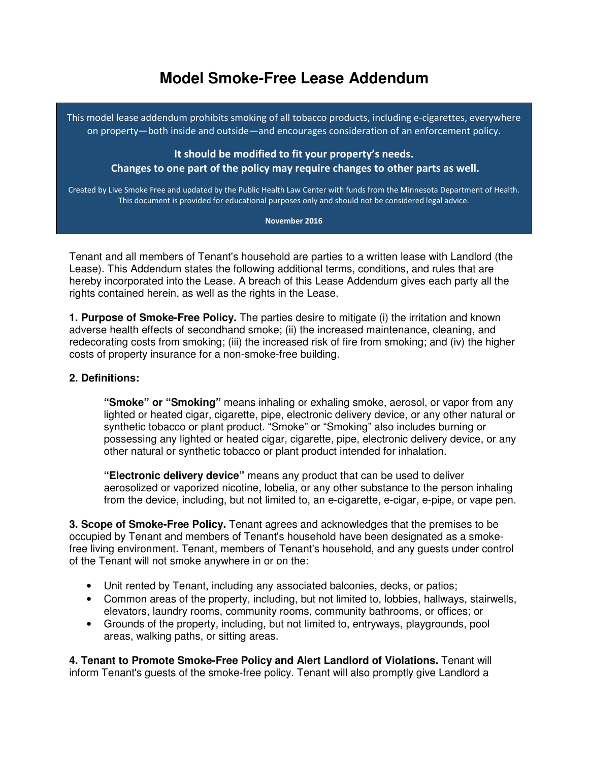## **Model Smoke-Free Lease Addendum**

This model lease addendum prohibits smoking of all tobacco products, including e-cigarettes, everywhere on property—both inside and outside—and encourages consideration of an enforcement policy.

It should be modified to fit your property's needs. Changes to one part of the policy may require changes to other parts as well.

Created by Live Smoke Free and updated by the Public Health Law Center with funds from the Minnesota Department of Health. This document is provided for educational purposes only and should not be considered legal advice.

November 2016

Tenant and all members of Tenant's household are parties to a written lease with Landlord (the Lease). This Addendum states the following additional terms, conditions, and rules that are hereby incorporated into the Lease. A breach of this Lease Addendum gives each party all the rights contained herein, as well as the rights in the Lease.

**1. Purpose of Smoke-Free Policy.** The parties desire to mitigate (i) the irritation and known adverse health effects of secondhand smoke; (ii) the increased maintenance, cleaning, and redecorating costs from smoking; (iii) the increased risk of fire from smoking; and (iv) the higher costs of property insurance for a non-smoke-free building.

## **2. Definitions:**

**"Smoke" or "Smoking"** means inhaling or exhaling smoke, aerosol, or vapor from any lighted or heated cigar, cigarette, pipe, electronic delivery device, or any other natural or synthetic tobacco or plant product. "Smoke" or "Smoking" also includes burning or possessing any lighted or heated cigar, cigarette, pipe, electronic delivery device, or any other natural or synthetic tobacco or plant product intended for inhalation.

**"Electronic delivery device"** means any product that can be used to deliver aerosolized or vaporized nicotine, lobelia, or any other substance to the person inhaling from the device, including, but not limited to, an e-cigarette, e-cigar, e-pipe, or vape pen.

**3. Scope of Smoke-Free Policy.** Tenant agrees and acknowledges that the premises to be occupied by Tenant and members of Tenant's household have been designated as a smokefree living environment. Tenant, members of Tenant's household, and any guests under control of the Tenant will not smoke anywhere in or on the:

- Unit rented by Tenant, including any associated balconies, decks, or patios;
- Common areas of the property, including, but not limited to, lobbies, hallways, stairwells, elevators, laundry rooms, community rooms, community bathrooms, or offices; or
- Grounds of the property, including, but not limited to, entryways, playgrounds, pool areas, walking paths, or sitting areas.

**4. Tenant to Promote Smoke-Free Policy and Alert Landlord of Violations.** Tenant will inform Tenant's guests of the smoke-free policy. Tenant will also promptly give Landlord a